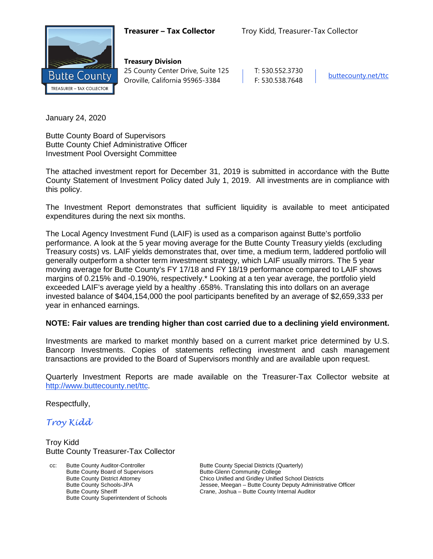

**Treasury Division** 25 County Center Drive, Suite 125 | T: 530.552.3730 Oroville, California 95965-3384 F: 530.538.7648 [buttecounty.net/t](http://www.buttecounty.net/administration)tc

January 24, 2020

Butte County Board of Supervisors Butte County Chief Administrative Officer Investment Pool Oversight Committee

The attached investment report for December 31, 2019 is submitted in accordance with the Butte County Statement of Investment Policy dated July 1, 2019. All investments are in compliance with this policy.

The Investment Report demonstrates that sufficient liquidity is available to meet anticipated expenditures during the next six months.

The Local Agency Investment Fund (LAIF) is used as a comparison against Butte's portfolio performance. A look at the 5 year moving average for the Butte County Treasury yields (excluding Treasury costs) vs. LAIF yields demonstrates that, over time, a medium term, laddered portfolio will generally outperform a shorter term investment strategy, which LAIF usually mirrors. The 5 year moving average for Butte County's FY 17/18 and FY 18/19 performance compared to LAIF shows margins of 0.215% and -0.190%, respectively.\* Looking at a ten year average, the portfolio yield exceeded LAIF's average yield by a healthy .658%. Translating this into dollars on an average invested balance of \$404,154,000 the pool participants benefited by an average of \$2,659,333 per year in enhanced earnings.

#### **NOTE: Fair values are trending higher than cost carried due to a declining yield environment.**

Investments are marked to market monthly based on a current market price determined by U.S. Bancorp Investments. Copies of statements reflecting investment and cash management transactions are provided to the Board of Supervisors monthly and are available upon request.

Quarterly Investment Reports are made available on the Treasurer-Tax Collector website at <http://www.buttecounty.net/ttc>.

Respectfully,

*Troy Kidd*

Troy Kidd Butte County Treasurer-Tax Collector

cc: Butte County Auditor-Controller Butte County Special Districts (Quarterly)<br>Butte County Board of Supervisors Butte-Glenn Community College Butte County Board of Supervisors Butte County Superintendent of Schools

Butte County District Attorney **Chico Unified and Gridley Unified School Districts**<br>Butte County Schools-JPA **Chicage Schools** Jessee, Meegan – Butte County Deputy Administr Butte County Schools-JPA<br>
Butte County Sheriff **Figure 18 Crane, Joshua** – Butte County Internal Auditor Butte County Sheriff Crane, Joshua – Butte County Internal Auditor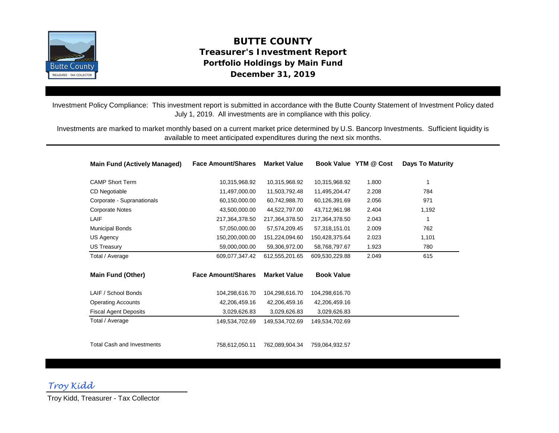

# **December 31, 2019 BUTTE COUNTY Treasurer's Investment Report Portfolio Holdings by Main Fund**

Investment Policy Compliance: This investment report is submitted in accordance with the Butte County Statement of Investment Policy dated July 1, 2019. All investments are in compliance with this policy.

Investments are marked to market monthly based on a current market price determined by U.S. Bancorp Investments. Sufficient liquidity is available to meet anticipated expenditures during the next six months.

| <b>Main Fund (Actively Managed)</b> | <b>Face Amount/Shares</b> | <b>Market Value</b> |                   | Book Value YTM @ Cost | <b>Days To Maturity</b> |
|-------------------------------------|---------------------------|---------------------|-------------------|-----------------------|-------------------------|
| <b>CAMP Short Term</b>              | 10,315,968.92             | 10,315,968.92       | 10,315,968.92     | 1.800                 | 1                       |
| CD Negotiable                       | 11,497,000.00             | 11,503,792.48       | 11,495,204.47     | 2.208                 | 784                     |
| Corporate - Supranationals          | 60,150,000.00             | 60,742,988.70       | 60,126,391.69     | 2.056                 | 971                     |
| <b>Corporate Notes</b>              | 43,500,000.00             | 44,522,797.00       | 43,712,961.98     | 2.404                 | 1,192                   |
| LAIF                                | 217,364,378.50            | 217,364,378.50      | 217,364,378.50    | 2.043                 | 1                       |
| Municipal Bonds                     | 57,050,000.00             | 57,574,209.45       | 57,318,151.01     | 2.009                 | 762                     |
| US Agency                           | 150,200,000.00            | 151,224,094.60      | 150,428,375.64    | 2.023                 | 1,101                   |
| <b>US Treasury</b>                  | 59,000,000.00             | 59,306,972.00       | 58,768,797.67     | 1.923                 | 780                     |
| Total / Average                     | 609,077,347.42            | 612,555,201.65      | 609,530,229.88    | 2.049                 | 615                     |
| <b>Main Fund (Other)</b>            | <b>Face Amount/Shares</b> | <b>Market Value</b> | <b>Book Value</b> |                       |                         |
| LAIF / School Bonds                 | 104,298,616.70            | 104,298,616.70      | 104,298,616.70    |                       |                         |
| <b>Operating Accounts</b>           | 42,206,459.16             | 42,206,459.16       | 42,206,459.16     |                       |                         |
| <b>Fiscal Agent Deposits</b>        | 3,029,626.83              | 3,029,626.83        | 3,029,626.83      |                       |                         |
| Total / Average                     | 149,534,702.69            | 149,534,702.69      | 149,534,702.69    |                       |                         |
| <b>Total Cash and Investments</b>   | 758,612,050.11            | 762,089,904.34      | 759,064,932.57    |                       |                         |

*Troy Kidd*

Troy Kidd, Treasurer - Tax Collector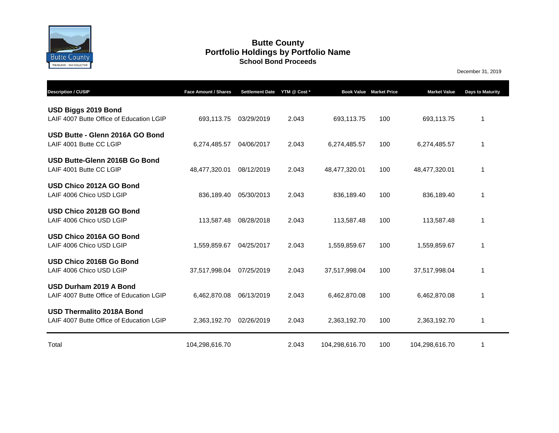

#### **Butte County School Bond Proceeds Portfolio Holdings by Portfolio Name**

December 31, 2019

| <b>Description / CUSIP</b>                                                   | Face Amount / Shares | <b>Settlement Date</b> | YTM @ Cost * |                | <b>Book Value Market Price</b> | <b>Market Value</b> | <b>Days to Maturity</b> |
|------------------------------------------------------------------------------|----------------------|------------------------|--------------|----------------|--------------------------------|---------------------|-------------------------|
| USD Biggs 2019 Bond<br>LAIF 4007 Butte Office of Education LGIP              | 693,113.75           | 03/29/2019             | 2.043        | 693,113.75     | 100                            | 693,113.75          | 1                       |
| USD Butte - Glenn 2016A GO Bond<br>LAIF 4001 Butte CC LGIP                   | 6,274,485.57         | 04/06/2017             | 2.043        | 6,274,485.57   | 100                            | 6,274,485.57        | 1                       |
| USD Butte-Glenn 2016B Go Bond<br>LAIF 4001 Butte CC LGIP                     | 48,477,320.01        | 08/12/2019             | 2.043        | 48,477,320.01  | 100                            | 48,477,320.01       | 1                       |
| USD Chico 2012A GO Bond<br>LAIF 4006 Chico USD LGIP                          | 836,189.40           | 05/30/2013             | 2.043        | 836,189.40     | 100                            | 836,189.40          | 1                       |
| USD Chico 2012B GO Bond<br>LAIF 4006 Chico USD LGIP                          | 113,587.48           | 08/28/2018             | 2.043        | 113,587.48     | 100                            | 113,587.48          | 1                       |
| USD Chico 2016A GO Bond<br>LAIF 4006 Chico USD LGIP                          | 1,559,859.67         | 04/25/2017             | 2.043        | 1,559,859.67   | 100                            | 1,559,859.67        | 1                       |
| USD Chico 2016B Go Bond<br>LAIF 4006 Chico USD LGIP                          | 37,517,998.04        | 07/25/2019             | 2.043        | 37,517,998.04  | 100                            | 37,517,998.04       | 1                       |
| USD Durham 2019 A Bond<br>LAIF 4007 Butte Office of Education LGIP           | 6,462,870.08         | 06/13/2019             | 2.043        | 6,462,870.08   | 100                            | 6,462,870.08        | 1                       |
| <b>USD Thermalito 2018A Bond</b><br>LAIF 4007 Butte Office of Education LGIP | 2,363,192.70         | 02/26/2019             | 2.043        | 2,363,192.70   | 100                            | 2,363,192.70        | 1                       |
| Total                                                                        | 104,298,616.70       |                        | 2.043        | 104,298,616.70 | 100                            | 104,298,616.70      | 1                       |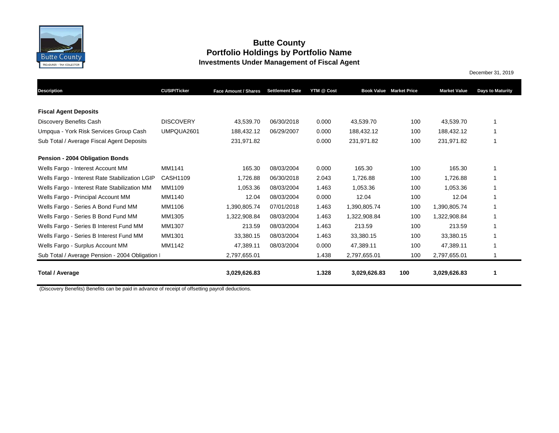

## **Butte County Portfolio Holdings by Portfolio Name Investments Under Management of Fiscal Agent**

December 31, 2019

|                                                 |                     |                      | <b>Settlement Date</b> | YTM @ Cost |              | <b>Book Value Market Price</b> | <b>Market Value</b> |                         |
|-------------------------------------------------|---------------------|----------------------|------------------------|------------|--------------|--------------------------------|---------------------|-------------------------|
| <b>Description</b>                              | <b>CUSIP/Ticker</b> | Face Amount / Shares |                        |            |              |                                |                     | <b>Days to Maturity</b> |
| <b>Fiscal Agent Deposits</b>                    |                     |                      |                        |            |              |                                |                     |                         |
| Discovery Benefits Cash                         | <b>DISCOVERY</b>    | 43.539.70            | 06/30/2018             | 0.000      | 43,539.70    | 100                            | 43,539.70           | 1                       |
| Umpqua - York Risk Services Group Cash          | UMPQUA2601          | 188,432.12           | 06/29/2007             | 0.000      | 188,432.12   | 100                            | 188,432.12          | 1                       |
| Sub Total / Average Fiscal Agent Deposits       |                     | 231,971.82           |                        | 0.000      | 231,971.82   | 100                            | 231,971.82          | 1                       |
| Pension - 2004 Obligation Bonds                 |                     |                      |                        |            |              |                                |                     |                         |
| Wells Fargo - Interest Account MM               | MM1141              | 165.30               | 08/03/2004             | 0.000      | 165.30       | 100                            | 165.30              | 1                       |
| Wells Fargo - Interest Rate Stabilization LGIP  | CASH1109            | 1,726.88             | 06/30/2018             | 2.043      | 1,726.88     | 100                            | 1,726.88            | 1                       |
| Wells Fargo - Interest Rate Stabilization MM    | MM1109              | 1,053.36             | 08/03/2004             | 1.463      | 1,053.36     | 100                            | 1,053.36            | 1                       |
| Wells Fargo - Principal Account MM              | MM1140              | 12.04                | 08/03/2004             | 0.000      | 12.04        | 100                            | 12.04               | 1                       |
| Wells Fargo - Series A Bond Fund MM             | MM1106              | 1,390,805.74         | 07/01/2018             | 1.463      | 1,390,805.74 | 100                            | 1,390,805.74        | 1                       |
| Wells Fargo - Series B Bond Fund MM             | MM1305              | 1,322,908.84         | 08/03/2004             | 1.463      | 1,322,908.84 | 100                            | 1,322,908.84        | 1                       |
| Wells Fargo - Series B Interest Fund MM         | MM1307              | 213.59               | 08/03/2004             | 1.463      | 213.59       | 100                            | 213.59              | 1                       |
| Wells Fargo - Series B Interest Fund MM         | MM1301              | 33,380.15            | 08/03/2004             | 1.463      | 33,380.15    | 100                            | 33,380.15           | 1                       |
| Wells Fargo - Surplus Account MM                | MM1142              | 47,389.11            | 08/03/2004             | 0.000      | 47,389.11    | 100                            | 47,389.11           | 1                       |
| Sub Total / Average Pension - 2004 Obligation I |                     | 2,797,655.01         |                        | 1.438      | 2,797,655.01 | 100                            | 2,797,655.01        | 1                       |
| <b>Total / Average</b>                          |                     | 3,029,626.83         |                        | 1.328      | 3,029,626.83 | 100                            | 3,029,626.83        | 1                       |

(Discovery Benefits) Benefits can be paid in advance of receipt of offsetting payroll deductions.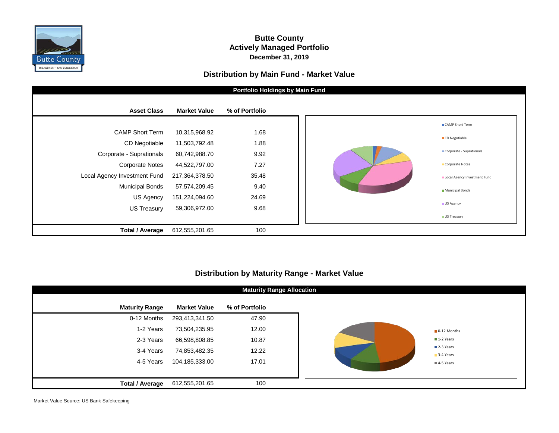

#### **Butte County Actively Managed Portfolio December 31, 2019**

#### **Distribution by Main Fund - Market Value**



### **Distribution by Maturity Range - Market Value**

| <b>Maturity Range Allocation</b> |                     |                |  |  |  |  |  |  |  |
|----------------------------------|---------------------|----------------|--|--|--|--|--|--|--|
| <b>Maturity Range</b>            | <b>Market Value</b> | % of Portfolio |  |  |  |  |  |  |  |
| 0-12 Months                      | 293,413,341.50      | 47.90          |  |  |  |  |  |  |  |
| 1-2 Years                        | 73,504,235.95       | 12.00          |  |  |  |  |  |  |  |
| 2-3 Years                        | 66,598,808.85       | 10.87          |  |  |  |  |  |  |  |
| 3-4 Years                        | 74,853,482.35       | 12.22          |  |  |  |  |  |  |  |
| 4-5 Years                        | 104,185,333.00      | 17.01          |  |  |  |  |  |  |  |
|                                  |                     |                |  |  |  |  |  |  |  |
| <b>Total / Average</b>           | 612,555,201.65      | 100            |  |  |  |  |  |  |  |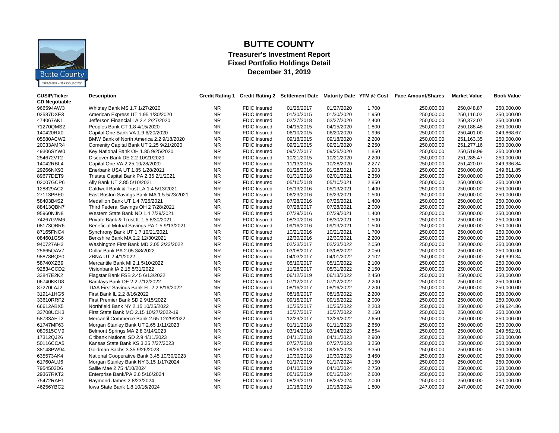

# **BUTTE COUNTY**

#### **Treasurer's Investment Report Fixed Portfolio Holdings Detail December 31, 2019**

| <b>CUSIP/Ticker</b><br><b>CD Negotiable</b> | <b>Description</b>                         | <b>Credit Rating 1</b> |                     | <b>Credit Rating 2 Settlement Date</b> |            |       | Maturity Date YTM @ Cost Face Amount/Shares | <b>Market Value</b> | <b>Book Value</b> |
|---------------------------------------------|--------------------------------------------|------------------------|---------------------|----------------------------------------|------------|-------|---------------------------------------------|---------------------|-------------------|
| 966594AW3                                   | Whitney Bank MS 1.7 1/27/2020              | NR.                    | <b>FDIC Insured</b> | 01/25/2017                             | 01/27/2020 | 1.700 | 250,000.00                                  | 250,048.87          | 250,000.00        |
| 02587DXE3                                   | American Express UT 1.95 1/30/2020         | <b>NR</b>              | FDIC Insured        | 01/30/2015                             | 01/30/2020 | 1.950 | 250,000.00                                  | 250,116.02          | 250,000.00        |
| 474067AK1                                   | Jefferson Financial LA 2.4 2/27/2020       | <b>NR</b>              | <b>FDIC Insured</b> | 02/27/2018                             | 02/27/2020 | 2.400 | 250,000.00                                  | 250,372.07          | 250,000.00        |
| 71270QMS2                                   | Peoples Bank CT 1.8 4/15/2020              | <b>NR</b>              | FDIC Insured        | 04/15/2015                             | 04/15/2020 | 1.800 | 250,000.00                                  | 250,188.48          | 250,000.00        |
| 140420RX0                                   | Capital One Bank VA 1.9 6/20/2020          | <b>NR</b>              | <b>FDIC</b> Insured | 06/10/2015                             | 06/20/2020 | 1.996 | 250,000.00                                  | 250,401.00          | 249,868.67        |
| 05580ACW2                                   | BMW Bank of North America 2.2 9/18/2020    | <b>NR</b>              | <b>FDIC Insured</b> | 09/18/2015                             | 09/18/2020 | 2.200 | 250,000.00                                  | 251,163.35          | 250,000.00        |
| 20033AMR4                                   | Comenity Capital Bank UT 2.25 9/21/2020    | <b>NR</b>              | <b>FDIC Insured</b> | 09/21/2015                             | 09/21/2020 | 2.250 | 250,000.00                                  | 251,277.16          | 250,000.00        |
| 49306SYW0                                   | Key National Bank OH 1.85 9/25/2020        | <b>NR</b>              | <b>FDIC Insured</b> | 09/27/2017                             | 09/25/2020 | 1.850 | 250,000.00                                  | 250,519.99          | 250,000.00        |
| 254672VT2                                   | Discover Bank DE 2.2 10/21/2020            | <b>NR</b>              | <b>FDIC Insured</b> | 10/21/2015                             | 10/21/2020 | 2.200 | 250,000.00                                  | 251,285.47          | 250,000.00        |
| 14042RBL4                                   | Capital One VA 2.25 10/28/2020             | <b>NR</b>              | FDIC Insured        | 11/13/2015                             | 10/28/2020 | 2.277 | 250,000.00                                  | 251,420.07          | 249,936.84        |
| 29266NX93                                   | Enerbank USA UT 1.85 1/28/2021             | <b>NR</b>              | <b>FDIC Insured</b> | 01/28/2016                             | 01/28/2021 | 1.903 | 250,000.00                                  | 250,000.00          | 249,811.85        |
| 89677DET9                                   | Tristate Capital Bank PA 2.35 2/1/2021     | <b>NR</b>              | <b>FDIC Insured</b> | 01/31/2018                             | 02/01/2021 | 2.350 | 250,000.00                                  | 250,000.00          | 250,000.00        |
| 02007GCP6                                   | Ally Bank UT 2.85 5/10/2021                | <b>NR</b>              | FDIC Insured        | 05/10/2018                             | 05/10/2021 | 2.850 | 250,000.00                                  | 250,000.00          | 250,000.00        |
| 128829AC2                                   | Caldwell Bank & Trust LA 1.4 5/13/2021     | <b>NR</b>              | <b>FDIC Insured</b> | 05/13/2016                             | 05/13/2021 | 1.400 | 250,000.00                                  | 250,000.00          | 250,000.00        |
| 27113PBE0                                   | East Boston Savings Bank MA 1.5 5/23/2021  | <b>NR</b>              | <b>FDIC Insured</b> | 06/23/2016                             | 05/23/2021 | 1.500 | 250,000.00                                  | 250,000.00          | 250,000.00        |
| 58403B4S2                                   | Medallion Bank UT 1.4 7/25/2021            | <b>NR</b>              | FDIC Insured        | 07/28/2016                             | 07/25/2021 | 1.400 | 250,000.00                                  | 250,000.00          | 250,000.00        |
| 88413QBN7                                   | Third Federal Savings OH 2 7/28/2021       | <b>NR</b>              | <b>FDIC Insured</b> | 07/28/2017                             | 07/28/2021 | 2.000 | 250,000.00                                  | 250,000.00          | 250,000.00        |
| 95960NJN8                                   | Western State Bank ND 1.4 7/29/2021        | <b>NR</b>              | <b>FDIC</b> Insured | 07/29/2016                             | 07/29/2021 | 1.400 | 250,000.00                                  | 250,000.00          | 250,000.00        |
| 74267GVM6                                   | Private Bank & Trust IL 1.5 8/30/2021      | <b>NR</b>              | <b>FDIC Insured</b> | 08/30/2016                             | 08/30/2021 | 1.500 | 250,000.00                                  | 250,000.00          | 250,000.00        |
| 08173QBR6                                   | Beneficial Mutual Savings PA 1.5 9/13/2021 | <b>NR</b>              | <b>FDIC Insured</b> | 09/16/2016                             | 09/13/2021 | 1.500 | 250,000.00                                  | 250,000.00          | 250,000.00        |
| 87165FNC4                                   | Synchrony Bank UT 1.7 10/21/2021           | <b>NR</b>              | <b>FDIC Insured</b> | 10/21/2016                             | 10/21/2021 | 1.700 | 250,000.00                                  | 250,000.00          | 250,000.00        |
| 084601GS6                                   | Berkshire Bank MA 2.2 12/30/2021           | <b>NR</b>              | <b>FDIC Insured</b> | 12/30/2016                             | 12/30/2021 | 2.200 | 250,000.00                                  | 250,000.00          | 250,000.00        |
| 940727AH3                                   | Washington First Bank MD 2.05 2/23/2022    | <b>NR</b>              | <b>FDIC Insured</b> | 02/23/2017                             | 02/23/2022 | 2.050 | 250,000.00                                  | 250,000.00          | 250,000.00        |
| 25665QAV7                                   | Dollar Bank PA 2.05 3/8/2022               | <b>NR</b>              | <b>FDIC Insured</b> | 03/08/2017                             | 03/08/2022 | 2.050 | 250,000.00                                  | 250,000.00          | 250,000.00        |
| 98878BQS0                                   | ZBNA UT 2 4/1/2022                         | <b>NR</b>              | <b>FDIC Insured</b> | 04/03/2017                             | 04/01/2022 | 2.102 | 250,000.00                                  | 250,000.00          | 249,399.34        |
| 58740XZB9                                   | Mercantile Bank MI 2.1 5/10/2022           | <b>NR</b>              | <b>FDIC Insured</b> | 05/10/2017                             | 05/10/2022 | 2.100 | 250,000.00                                  | 250,000.00          | 250,000.00        |
| 92834CCD2                                   | Visionbank IA 2.15 5/31/2022               | <b>NR</b>              | <b>FDIC Insured</b> | 11/28/2017                             | 05/31/2022 | 2.150 | 250,000.00                                  | 250,000.00          | 250,000.00        |
| 33847E2K2                                   | Flagstar Bank FSB 2.45 6/13/2022           | <b>NR</b>              | FDIC Insured        | 06/12/2019                             | 06/13/2022 | 2.450 | 250,000.00                                  | 250,000.00          | 250,000.00        |
| 06740KKD8                                   | Barclays Bank DE 2.2 7/12/2022             | <b>NR</b>              | <b>FDIC Insured</b> | 07/12/2017                             | 07/12/2022 | 2.200 |                                             | 250,000.00          | 250,000.00        |
| 87270LAJ2                                   | TIAA First Savings Bank FL 2.2 8/16/2022   | <b>NR</b>              | <b>FDIC Insured</b> | 08/16/2017                             | 08/16/2022 | 2.200 | 250,000.00                                  | 250,000.00          | 250,000.00        |
|                                             |                                            |                        |                     |                                        |            |       | 250,000.00                                  |                     |                   |
| 319141HG5                                   | First Bank IL 2.2 8/16/2022                | NR.                    | FDIC Insured        | 08/16/2017                             | 08/16/2022 | 2.200 | 250,000.00                                  | 250,000.00          | 250,000.00        |
| 33610RRF2                                   | First Premier Bank SD 2 9/15/2022          | <b>NR</b>              | <b>FDIC Insured</b> | 09/15/2017                             | 09/15/2022 | 2.000 | 250,000.00                                  | 250,000.00          | 250,000.00        |
| 66612ABX5                                   | Northfield Bank NY 2.15 10/25/2022         | <b>NR</b>              | FDIC Insured        | 10/25/2017                             | 10/25/2022 | 2.203 | 250,000.00                                  | 250,000.00          | 249,624.86        |
| 33708UCK3                                   | First State Bank MO 2.15 10/27/2022-19     | <b>NR</b>              | <b>FDIC Insured</b> | 10/27/2017                             | 10/27/2022 | 2.150 | 250,000.00                                  | 250,000.00          | 250,000.00        |
| 58733AET2                                   | Mercantil Commerce Bank 2.65 12/29/2022    | <b>NR</b>              | <b>FDIC Insured</b> | 12/29/2017                             | 12/29/2022 | 2.650 | 250,000.00                                  | 250,000.00          | 250,000.00        |
| 61747MF63                                   | Morgan Stanley Bank UT 2.65 1/11/2023      | <b>NR</b>              | <b>FDIC Insured</b> | 01/11/2018                             | 01/11/2023 | 2.650 | 250,000.00                                  | 250,000.00          | 250,000.00        |
| 080515CM9                                   | Belmont Springs MA 2.8 3/14/2023           | <b>NR</b>              | <b>FDIC Insured</b> | 03/14/2018                             | 03/14/2023 | 2.854 | 250,000.00                                  | 250,000.00          | 249,562.91        |
| 17312QJ26                                   | Citibank National SD 2.9 4/11/2023         | <b>NR</b>              | <b>FDIC Insured</b> | 04/11/2018                             | 04/11/2023 | 2.900 | 250,000.00                                  | 250,000.00          | 250,000.00        |
| 50116CCA5                                   | Kansas State Bank KS 3.25 7/27/2023        | <b>NR</b>              | <b>FDIC Insured</b> | 07/27/2018                             | 07/27/2023 | 3.250 | 250,000.00                                  | 250,000.00          | 250,000.00        |
| 38148PW94                                   | Goldman Sachs 3.35 9/26/2023               | <b>NR</b>              | <b>FDIC Insured</b> | 09/26/2018                             | 09/26/2023 | 3.350 | 250,000.00                                  | 250,000.00          | 250,000.00        |
| 635573AK4                                   | National Cooperative Bank 3.45 10/30/2023  | <b>NR</b>              | <b>FDIC Insured</b> | 10/30/2018                             | 10/30/2023 | 3.450 | 250,000.00                                  | 250,000.00          | 250,000.00        |
| 61760AUJ6                                   | Morgan Stanley Bank NY 3.15 1/17/2024      | <b>NR</b>              | <b>FDIC Insured</b> | 01/17/2019                             | 01/17/2024 | 3.150 | 250,000.00                                  | 250,000.00          | 250,000.00        |
| 7954502D6                                   | Sallie Mae 2.75 4/10/2024                  | <b>NR</b>              | <b>FDIC Insured</b> | 04/10/2019                             | 04/10/2024 | 2.750 | 250,000.00                                  | 250,000.00          | 250,000.00        |
| 29367RKT2                                   | Enterprise Bank/PA 2.6 5/16/2024           | <b>NR</b>              | FDIC Insured        | 05/16/2019                             | 05/16/2024 | 2.600 | 250,000.00                                  | 250,000.00          | 250,000.00        |
| 75472RAE1                                   | Raymond James 2 8/23/2024                  | <b>NR</b>              | <b>FDIC Insured</b> | 08/23/2019                             | 08/23/2024 | 2.000 | 250,000.00                                  | 250,000.00          | 250,000.00        |
| 46256YBC2                                   | lowa State Bank 1.8 10/16/2024             | <b>NR</b>              | <b>FDIC Insured</b> | 10/16/2019                             | 10/16/2024 | 1.800 | 247,000.00                                  | 247,000.00          | 247,000.00        |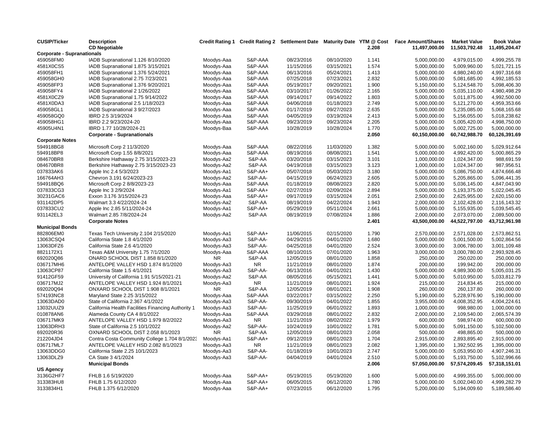| <b>CUSIP/Ticker</b>               | <b>Description</b>                                 | <b>Credit Rating 1</b> |                    |            |            |       | Credit Rating 2 Settlement Date Maturity Date YTM @ Cost Face Amount/Shares | <b>Market Value</b> | <b>Book Value</b> |
|-----------------------------------|----------------------------------------------------|------------------------|--------------------|------------|------------|-------|-----------------------------------------------------------------------------|---------------------|-------------------|
|                                   | <b>CD Negotiable</b>                               |                        |                    |            |            | 2.208 | 11,497,000.00                                                               | 11,503,792.48       | 11,495,204.47     |
| <b>Corporate - Supranationals</b> |                                                    |                        |                    |            |            |       |                                                                             |                     |                   |
| 459058FM0                         | IADB Supranational 1.126 8/10/2020                 | Moodys-Aaa             | S&P-AAA            | 08/23/2016 | 08/10/2020 | 1.141 | 5,000,000.00                                                                | 4,979,015.00        | 4,999,255.78      |
| 4581X0CS5                         | IADB Supranational 1.875 3/15/2021                 | Moodys-Aaa             | S&P-AAA            | 11/15/2016 | 03/15/2021 | 1.574 | 5,000,000.00                                                                | 5,009,960.00        | 5,021,721.15      |
| 459058FH1                         | IADB Supranational 1.376 5/24/2021                 | Moodys-Aaa             | S&P-AAA            | 06/13/2016 | 05/24/2021 | 1.413 | 5,000,000.00                                                                | 4,980,240.00        | 4,997,316.68      |
| 459058GH0                         | IADB Supranational 2.75 7/23/2021                  | Moodys-Aaa             | S&P-AAA            | 07/25/2018 | 07/23/2021 | 2.832 | 5,000,000.00                                                                | 5,081,685.00        | 4,992,185.53      |
| 459058FP3                         | IADB Supranational 1.376 9/20/2021                 | Moodys-Aaa             | S&P-AAA            | 05/19/2017 | 09/20/2021 | 1.900 | 5,150,000.00                                                                | 5,124,548.70        | 5,098,406.30      |
| 459058FY4                         | IADB Supranational 2 1/26/2022                     | Moodys-Aaa             | S&P-AAA            | 03/10/2017 | 01/26/2022 | 2.165 | 5,000,000.00                                                                | 5,035,110.00        | 4,980,498.29      |
| 4581X0CZ9                         | IADB Supranational 1.75 9/14/2022                  | Moodys-Aaa             | S&P-AAA            | 09/14/2017 | 09/14/2022 | 1.803 | 5,000,000.00                                                                | 5,011,875.00        | 4,992,500.00      |
| 4581X0DA3                         | IADB Supranational 2.5 1/18/2023                   | Moodys-Aaa             | S&P-AAA            | 04/06/2018 | 01/18/2023 | 2.749 | 5,000,000.00                                                                | 5,121,270.00        | 4.959.353.66      |
| 459058GL1                         | IADB Supranational 3 9/27/2023                     | Moodys-Aaa             | S&P-AAA            | 01/17/2019 | 09/27/2023 | 2.635 | 5,000,000.00                                                                | 5,235,085.00        | 5,068,165.68      |
| 459058GQ0                         | IBRD 2.5 3/19/2024                                 | Moodys-Aaa             | S&P-AAA            | 04/05/2019 | 03/19/2024 | 2.413 | 5,000,000.00                                                                | 5,156,055.00        | 5,018,238.62      |
| 459058HG1                         | IBRD 2.2 9/23/2024-20                              | Moodys-Aaa             | S&P-AAA            | 09/23/2019 | 09/23/2024 | 2.205 | 5,000,000.00                                                                | 5,005,420.00        | 4,998,750.00      |
| 45905U4N1                         | IBRD 1.77 10/28/2024-21                            | Moodys-Baa             | S&P-AAA            | 10/28/2019 | 10/28/2024 | 1.770 | 5,000,000.00                                                                | 5,002,725.00        | 5,000,000.00      |
|                                   | <b>Corporate - Supranationals</b>                  |                        |                    |            |            | 2.050 | 60,150,000.00                                                               | 60,742,988.70       | 60,126,391.69     |
| <b>Corporate Notes</b>            |                                                    |                        |                    |            |            |       |                                                                             |                     |                   |
| 594918BG8                         | Microsoft Corp 2 11/3/2020                         | Moodys-Aaa             | S&P-AAA            | 08/22/2016 | 11/03/2020 | 1.382 | 5,000,000.00                                                                | 5,002,160.00        | 5,029,912.64      |
| 594918BP8                         | Microsoft Corp 1.55 8/8/2021                       | Moodys-Aaa             | S&P-AAA            | 08/19/2016 | 08/08/2021 | 1.541 | 5,000,000.00                                                                | 4,992,420.00        | 5,000,865.29      |
| 084670BR8                         | Berkshire Hathaway 2.75 3/15/2023-23               | Moodys-Aa2             | S&P-AA             | 03/20/2018 | 03/15/2023 | 3.101 | 1,000,000.00                                                                | 1,024,347.00        | 988,691.59        |
| 084670BR8                         | Berkshire Hathaway 2.75 3/15/2023-23               | Moodys-Aa2             | S&P-AA             | 04/19/2018 | 03/15/2023 | 3.123 | 1,000,000.00                                                                | 1,024,347.00        | 987,956.51        |
| 037833AK6                         | Apple Inc 2.4 5/3/2023                             | Moodys-Aa1             | <b>S&amp;P-AA+</b> | 05/07/2018 | 05/03/2023 | 3.180 | 5,000,000.00                                                                | 5,086,750.00        | 4,874,666.48      |
| 166764AH3                         | Chevron 3.191 6/24/2023-23                         | Moodys-Aa2             | S&P-AA-            | 04/15/2019 | 06/24/2023 | 2.605 | 5,000,000.00                                                                | 5,205,865.00        | 5,096,441.35      |
| 594918BQ6                         | Microsoft Corp 2 8/8/2023-23                       | Moodys-Aaa             | S&P-AAA            | 01/18/2019 | 08/08/2023 | 2.820 | 5,000,000.00                                                                | 5,036,145.00        | 4,847,043.90      |
| 037833CG3                         | Apple Inc 3 2/9/2024                               | Moodys-Aa1             | <b>S&amp;P-AA+</b> | 02/27/2019 | 02/09/2024 | 2.894 | 5,000,000.00                                                                | 5,193,375.00        | 5,022,045.45      |
| 30231GAC6                         | Exxon 3.176 3/15/2024-23                           | Moodys-Aaa             | S&P-AA+            | 09/17/2019 | 03/15/2024 | 2.051 | 2,500,000.00                                                                | 2,625,955.00        | 2,620,150.00      |
| 931142DP5                         | Walmart 3.3 4/22/2024-24                           | Moodys-Aa2             | S&P-AA             | 08/19/2019 | 04/22/2024 | 1.943 | 2,000,000.00                                                                | 2,102,428.00        | 2,116,143.32      |
| 037833CU2                         | Apple Inc 2.85 5/11/2024-24                        | Moodys-Aa1             | S&P-AA+            | 05/29/2019 | 05/11/2024 | 2.661 | 5,000,000.00                                                                | 5,155,935.00        | 5,039,545.45      |
| 931142EL3                         | Walmart 2.85 7/8/2024-24                           | Moodys-Aa2             | S&P-AA             | 08/19/2019 | 07/08/2024 | 1.886 | 2,000,000.00                                                                | 2,073,070.00        | 2,089,500.00      |
|                                   | <b>Corporate Notes</b>                             |                        |                    |            |            | 2.401 | 43,500,000.00                                                               | 44,522,797.00       | 43,712,961.98     |
| <b>Municipal Bonds</b>            |                                                    |                        |                    |            |            |       |                                                                             |                     |                   |
| 882806EM0                         | Texas Tech University 2.104 2/15/2020              | Moodys-Aa1             | S&P-AA+            | 11/06/2015 | 02/15/2020 | 1.790 | 2,570,000.00                                                                | 2,571,028.00        | 2,573,862.51      |
| 13063CSQ4                         | California State 1.8 4/1/2020                      | Moodys-Aa3             | <b>S&amp;P-AA-</b> | 04/29/2015 | 04/01/2020 | 1.680 | 5,000,000.00                                                                | 5,001,500.00        | 5,002,864.56      |
| 13063DFZ6                         | California State 2.6 4/1/2020                      | Moodys-Aa3             | S&P-AA-            | 04/25/2018 | 04/01/2020 | 2.524 | 3,000,000.00                                                                | 3,006,780.00        | 3,001,109.48      |
| 8821172X1                         | Texas A&M University 1.75 7/1/2020                 | Moodys-Aaa             | S&P-AAA            | 08/10/2015 | 07/01/2020 | 1.963 | 3,000,000.00                                                                | 3,000,780.00        | 2,993,928.45      |
| 692020Q86                         | ONARD SCHOOL DIST 1.858 8/1/2020                   | <b>NR</b>              | S&P-AA             | 12/05/2019 | 08/01/2020 | 1.858 | 250,000.00                                                                  | 250,020.00          | 250,000.00        |
| 036717MH6                         | ANTELOPE VALLEY HSD 1.874 8/1/2020                 | Moodys-Aa3             | NR.                | 11/21/2019 | 08/01/2020 | 1.874 | 200,000.00                                                                  | 199,942.00          | 200,000.00        |
| 13063CP87                         | California State 1.5 4/1/2021                      | Moodys-Aa3             | S&P-AA-            | 06/13/2016 | 04/01/2021 | 1.430 | 5,000,000.00                                                                | 4,989,300.00        | 5,005,031.25      |
| 91412GF59                         | University of California 1.91 5/15/2021-21         | Moodys-Aa2             | S&P-AA             | 08/05/2016 | 05/15/2021 | 1.441 | 5,000,000.00                                                                | 5,010,950.00        | 5,033,812.79      |
| 036717MJ2                         | ANTELOPE VALLEY HSD 1.924 8/1/2021                 | Moodys-Aa3             | <b>NR</b>          | 11/21/2019 | 08/01/2021 | 1.924 | 215,000.00                                                                  | 214,834.45          | 215,000.00        |
| 692020Q94                         | ONXARD SCHOOL DIST 1.908 8/1/2021                  | <b>NR</b>              | S&P-AA             | 12/05/2019 | 08/01/2021 | 1.908 | 260,000.00                                                                  | 260,137.80          | 260,000.00        |
| 574193NC8                         | Maryland State 2.25 3/15/2022                      | Moodys-Aaa             | S&P-AAA            | 03/22/2017 | 03/15/2022 | 2.250 | 5,190,000.00                                                                | 5,228,976.90        | 5,190,000.00      |
| 13063DAD0                         | State of California 2.367 4/1/2022                 | Moodys-Aa3             | S&P-AA-            | 09/30/2019 | 04/01/2022 | 1.855 | 3,955,000.00                                                                | 4,008,352.95        | 4,004,224.61      |
| 13032UUZ9                         | California Health Facilities Financing Authority 1 | Moodys-Aa3             | <b>S&amp;P-AA-</b> | 11/25/2019 | 06/01/2022 | 1.893 | 1,000,000.00                                                                | 998,980.00          | 1,000,000.00      |
| 010878AN6                         | Alameda County CA 4 8/1/2022                       | Moodys-Aaa             | S&P-AAA            | 03/29/2018 | 08/01/2022 | 2.832 | 2,000,000.00                                                                | 2,109,540.00        | 2.065.574.39      |
| 036717MK9                         | ANTELOPE VALLEY HSD 1.979 8/2/2022                 | Moodys-Aa3             | <b>NR</b>          | 11/21/2019 | 08/02/2022 | 1.979 | 600,000.00                                                                  | 598,974.00          | 600,000.00        |
| 13063DRH3                         | State of California 2.5 10/1/2022                  | Moodys-Aa2             | <b>S&amp;P-AA-</b> | 10/24/2019 | 10/01/2022 | 1.781 | 5,000,000.00                                                                | 5,091,150.00        | 5,102,500.00      |
| 692020R36                         | OXNARD SCHOOL DIST 2.058 8/1/2023                  | <b>NR</b>              | S&P-AA             | 12/05/2019 | 08/01/2023 | 2.058 | 500,000.00                                                                  | 498,865.00          | 500,000.00        |
| 212204JD4                         | Contra Costa Community College 1.704 8/1/2023      | Moodys-Aa1             | S&P-AA+            | 09/12/2019 | 08/01/2023 | 1.704 | 2,915,000.00                                                                | 2,893,895.40        | 2,915,000.00      |
| 036717ML7                         | ANTELOPE VALLEY HSD 2.082 8/1/2023                 | Moodys-Aa3             | NR.                | 11/21/2019 | 08/01/2023 | 2.082 | 1,395,000.00                                                                | 1,392,502.95        | 1,395,000.00      |
| 13063DDG0                         | California State 2.25 10/1/2023                    | Moodys-Aa3             | S&P-AA-            | 01/18/2019 | 10/01/2023 | 2.747 | 5,000,000.00                                                                | 5,053,950.00        | 4,907,246.31      |
| 13063DLZ9                         | CA State 3 4/1/2024                                | Moodys-Aa3             | <b>S&amp;P-AA-</b> | 04/04/2019 | 04/01/2024 | 2.510 | 5,000,000.00                                                                | 5,193,750.00        | 5,102,996.66      |
|                                   | <b>Municipal Bonds</b>                             |                        |                    |            |            | 2.006 | 57,050,000.00                                                               | 57,574,209.45       | 57,318,151.01     |
| US Agency                         |                                                    |                        |                    |            |            |       |                                                                             |                     |                   |
| 3136G2HF7                         | FHLB 1.6 5/19/2020                                 | Moodys-Aaa             | S&P-AA+            | 05/19/2015 | 05/19/2020 | 1.600 | 5,000,000.00                                                                | 4,999,355.00        | 5,000,000.00      |
| 313383HU8                         | FHLB 1.75 6/12/2020                                | Moodys-Aaa             | S&P-AA+            | 06/05/2015 | 06/12/2020 | 1.780 | 5,000,000.00                                                                | 5,002,040.00        | 4,999,282.79      |
| 3133834H1                         | FHLB 1.375 6/12/2020                               | Moodys-Aaa             | $S&P-AA+$          | 07/23/2015 | 06/12/2020 | 1.795 | 5,200,000.00                                                                | 5,194,009.60        | 5,189,586.40      |